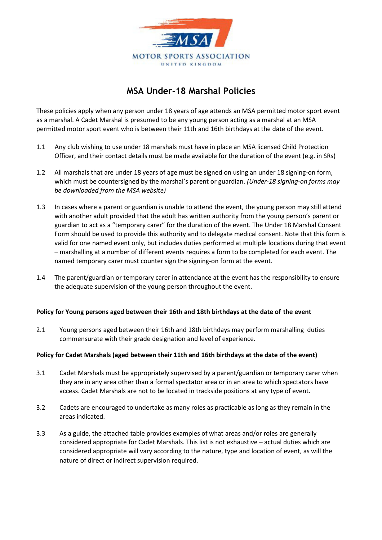

## MSA Under-18 Marshal Policies

These policies apply when any person under 18 years of age attends an MSA permitted motor sport event as a marshal. A Cadet Marshal is presumed to be any young person acting as a marshal at an MSA permitted motor sport event who is between their 11th and 16th birthdays at the date of the event.

- 1.1 Any club wishing to use under 18 marshals must have in place an MSA licensed Child Protection Officer, and their contact details must be made available for the duration of the event (e.g. in SRs)
- 1.2 All marshals that are under 18 years of age must be signed on using an under 18 signing‐on form, which must be countersigned by the marshal's parent or guardian. (Under-18 signing-on forms may be downloaded from the MSA website)
- 1.3 In cases where a parent or guardian is unable to attend the event, the young person may still attend with another adult provided that the adult has written authority from the young person's parent or guardian to act as a "temporary carer" for the duration of the event. The Under 18 Marshal Consent Form should be used to provide this authority and to delegate medical consent. Note that this form is valid for one named event only, but includes duties performed at multiple locations during that event – marshalling at a number of different events requires a form to be completed for each event. The named temporary carer must counter sign the signing‐on form at the event.
- 1.4 The parent/guardian or temporary carer in attendance at the event has the responsibility to ensure the adequate supervision of the young person throughout the event.

## Policy for Young persons aged between their 16th and 18th birthdays at the date of the event

2.1 Young persons aged between their 16th and 18th birthdays may perform marshalling duties commensurate with their grade designation and level of experience.

## Policy for Cadet Marshals (aged between their 11th and 16th birthdays at the date of the event)

- 3.1 Cadet Marshals must be appropriately supervised by a parent/guardian or temporary carer when they are in any area other than a formal spectator area or in an area to which spectators have access. Cadet Marshals are not to be located in trackside positions at any type of event.
- 3.2 Cadets are encouraged to undertake as many roles as practicable as long as they remain in the areas indicated.
- 3.3 As a guide, the attached table provides examples of what areas and/or roles are generally considered appropriate for Cadet Marshals. This list is not exhaustive – actual duties which are considered appropriate will vary according to the nature, type and location of event, as will the nature of direct or indirect supervision required.